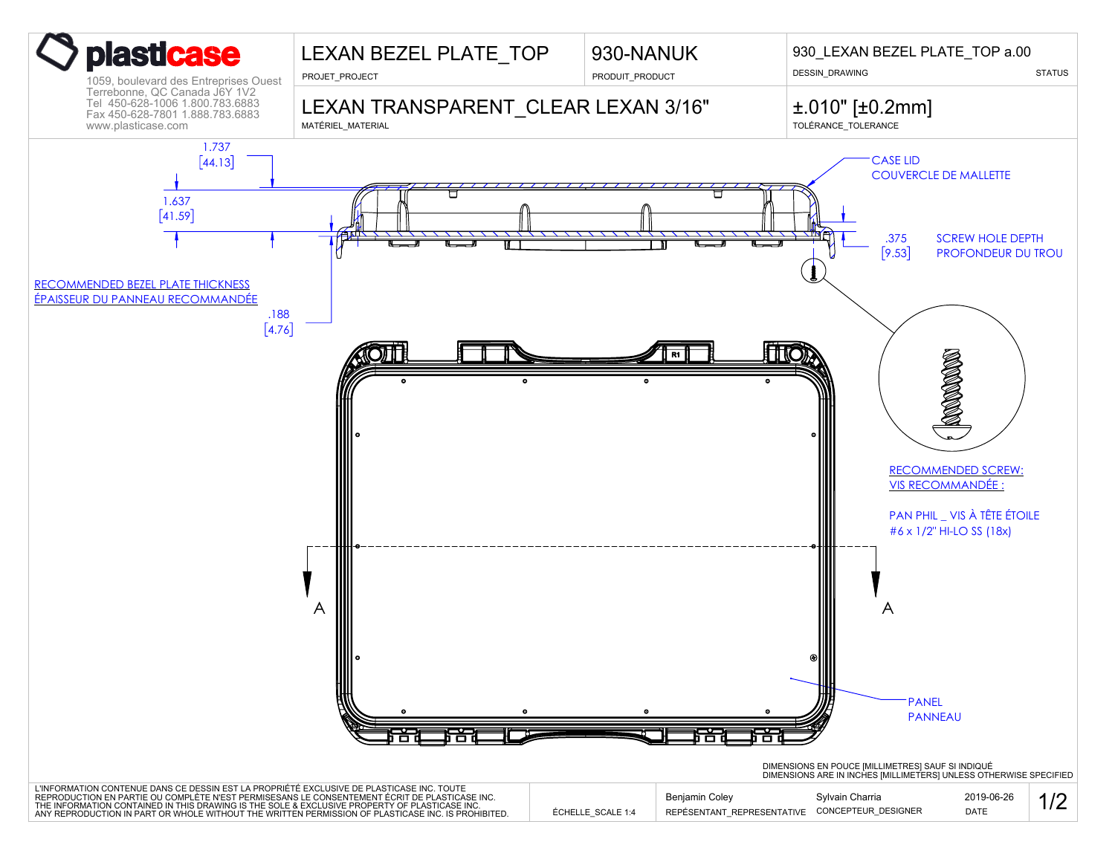